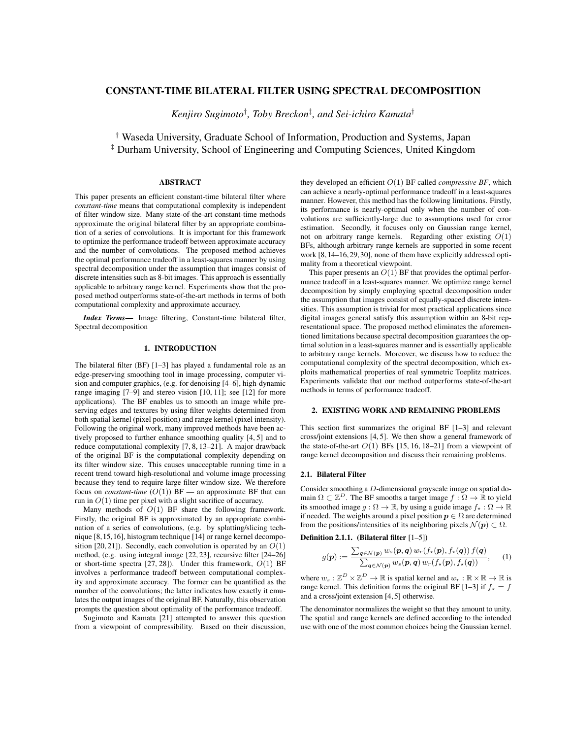# CONSTANT-TIME BILATERAL FILTER USING SPECTRAL DECOMPOSITION

*Kenjiro Sugimoto*† *, Toby Breckon*‡ *, and Sei-ichiro Kamata*†

† Waseda University, Graduate School of Information, Production and Systems, Japan ‡ Durham University, School of Engineering and Computing Sciences, United Kingdom

### ABSTRACT

This paper presents an efficient constant-time bilateral filter where *constant-time* means that computational complexity is independent of filter window size. Many state-of-the-art constant-time methods approximate the original bilateral filter by an appropriate combination of a series of convolutions. It is important for this framework to optimize the performance tradeoff between approximate accuracy and the number of convolutions. The proposed method achieves the optimal performance tradeoff in a least-squares manner by using spectral decomposition under the assumption that images consist of discrete intensities such as 8-bit images. This approach is essentially applicable to arbitrary range kernel. Experiments show that the proposed method outperforms state-of-the-art methods in terms of both computational complexity and approximate accuracy.

*Index Terms*— Image filtering, Constant-time bilateral filter, Spectral decomposition

## 1. INTRODUCTION

The bilateral filter (BF) [1–3] has played a fundamental role as an edge-preserving smoothing tool in image processing, computer vision and computer graphics, (e.g. for denoising [4–6], high-dynamic range imaging [7–9] and stereo vision [10, 11]; see [12] for more applications). The BF enables us to smooth an image while preserving edges and textures by using filter weights determined from both spatial kernel (pixel position) and range kernel (pixel intensity). Following the original work, many improved methods have been actively proposed to further enhance smoothing quality [4, 5] and to reduce computational complexity [7, 8, 13–21]. A major drawback of the original BF is the computational complexity depending on its filter window size. This causes unacceptable running time in a recent trend toward high-resolutional and volume image processing because they tend to require large filter window size. We therefore focus on *constant-time*  $(O(1))$  BF — an approximate BF that can run in  $O(1)$  time per pixel with a slight sacrifice of accuracy.

Many methods of  $O(1)$  BF share the following framework. Firstly, the original BF is approximated by an appropriate combination of a series of convolutions, (e.g. by splatting/slicing technique [8,15,16], histogram technique [14] or range kernel decomposition [20, 21]). Secondly, each convolution is operated by an  $O(1)$ method, (e.g. using integral image [22, 23], recursive filter [24–26] or short-time spectra  $[27, 28]$ ). Under this framework,  $O(1)$  BF involves a performance tradeoff between computational complexity and approximate accuracy. The former can be quantified as the number of the convolutions; the latter indicates how exactly it emulates the output images of the original BF. Naturally, this observation prompts the question about optimality of the performance tradeoff.

Sugimoto and Kamata [21] attempted to answer this question from a viewpoint of compressibility. Based on their discussion, they developed an efficient  $O(1)$  BF called *compressive BF*, which can achieve a nearly-optimal performance tradeoff in a least-squares manner. However, this method has the following limitations. Firstly, its performance is nearly-optimal only when the number of convolutions are sufficiently-large due to assumptions used for error estimation. Secondly, it focuses only on Gaussian range kernel, not on arbitrary range kernels. Regarding other existing  $O(1)$ BFs, although arbitrary range kernels are supported in some recent work [8,14–16,29,30], none of them have explicitly addressed optimality from a theoretical viewpoint.

This paper presents an  $O(1)$  BF that provides the optimal performance tradeoff in a least-squares manner. We optimize range kernel decomposition by simply employing spectral decomposition under the assumption that images consist of equally-spaced discrete intensities. This assumption is trivial for most practical applications since digital images general satisfy this assumption within an 8-bit representational space. The proposed method eliminates the aforementioned limitations because spectral decomposition guarantees the optimal solution in a least-squares manner and is essentially applicable to arbitrary range kernels. Moreover, we discuss how to reduce the computational complexity of the spectral decomposition, which exploits mathematical properties of real symmetric Toeplitz matrices. Experiments validate that our method outperforms state-of-the-art methods in terms of performance tradeoff.

### 2. EXISTING WORK AND REMAINING PROBLEMS

This section first summarizes the original BF [1–3] and relevant cross/joint extensions [4, 5]. We then show a general framework of the state-of-the-art  $O(1)$  BFs [15, 16, 18–21] from a viewpoint of range kernel decomposition and discuss their remaining problems.

#### 2.1. Bilateral Filter

Consider smoothing a D-dimensional grayscale image on spatial domain  $\Omega \subset \mathbb{Z}^D$ . The BF smooths a target image  $f : \Omega \to \mathbb{R}$  to yield its smoothed image  $g : \Omega \to \mathbb{R}$ , by using a guide image  $f_* : \Omega \to \mathbb{R}$ if needed. The weights around a pixel position  $p \in \Omega$  are determined from the positions/intensities of its neighboring pixels  $\mathcal{N}(\mathbf{p}) \subset \Omega$ .

Definition 2.1.1. (Bilateral filter [1–5])

$$
g(\boldsymbol{p}) := \frac{\sum_{\boldsymbol{q} \in \mathcal{N}(\boldsymbol{p})} w_s(\boldsymbol{p}, \boldsymbol{q}) w_r(f_*(\boldsymbol{p}), f_*(\boldsymbol{q})) f(\boldsymbol{q})}{\sum_{\boldsymbol{q} \in \mathcal{N}(\boldsymbol{p})} w_s(\boldsymbol{p}, \boldsymbol{q}) w_r(f_*(\boldsymbol{p}), f_*(\boldsymbol{q}))}, \qquad (1)
$$

where  $w_s : \mathbb{Z}^D \times \mathbb{Z}^D \to \mathbb{R}$  is spatial kernel and  $w_r : \mathbb{R} \times \mathbb{R} \to \mathbb{R}$  is range kernel. This definition forms the original BF [1–3] if  $f_* = f$ and a cross/joint extension [4, 5] otherwise.

The denominator normalizes the weight so that they amount to unity. The spatial and range kernels are defined according to the intended use with one of the most common choices being the Gaussian kernel.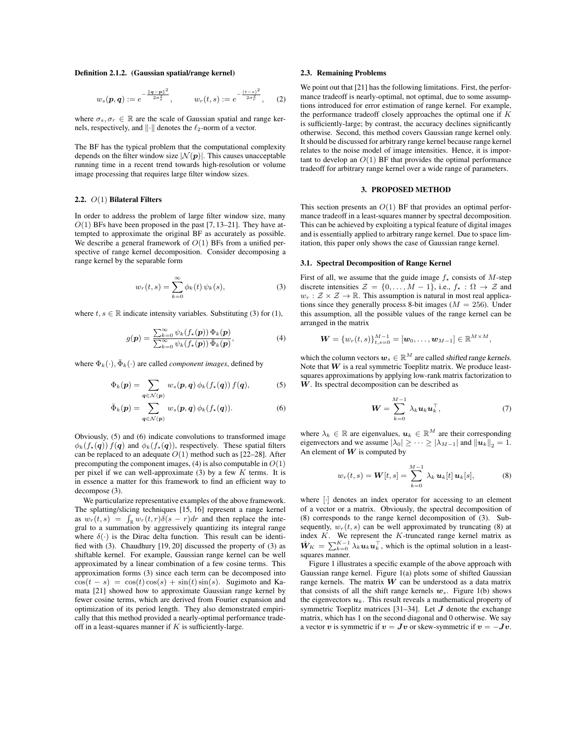#### Definition 2.1.2. (Gaussian spatial/range kernel)

$$
w_s(\mathbf{p}, \mathbf{q}) := e^{-\frac{\|\mathbf{q} - \mathbf{p}\|^2}{2\sigma_s^2}}, \qquad w_r(t, s) := e^{-\frac{(t - s)^2}{2\sigma_r^2}}, \qquad (2)
$$

where  $\sigma_s, \sigma_r \in \mathbb{R}$  are the scale of Gaussian spatial and range kernels, respectively, and  $\|\cdot\|$  denotes the  $\ell_2$ -norm of a vector.

The BF has the typical problem that the computational complexity depends on the filter window size  $|\mathcal{N}(\boldsymbol{p})|$ . This causes unacceptable running time in a recent trend towards high-resolution or volume image processing that requires large filter window sizes.

### 2.2. O(1) Bilateral Filters

In order to address the problem of large filter window size, many  $O(1)$  BFs have been proposed in the past [7, 13–21]. They have attempted to approximate the original BF as accurately as possible. We describe a general framework of  $O(1)$  BFs from a unified perspective of range kernel decomposition. Consider decomposing a range kernel by the separable form

$$
w_r(t,s) = \sum_{k=0}^{\infty} \phi_k(t) \psi_k(s), \qquad (3)
$$

where  $t, s \in \mathbb{R}$  indicate intensity variables. Substituting (3) for (1),

$$
g(\mathbf{p}) = \frac{\sum_{k=0}^{\infty} \psi_k(f_*(\mathbf{p})) \Phi_k(\mathbf{p})}{\sum_{k=0}^{\infty} \psi_k(f_*(\mathbf{p})) \bar{\Phi}_k(\mathbf{p})},
$$
(4)

where  $\Phi_k(\cdot), \bar{\Phi}_k(\cdot)$  are called *component images*, defined by

$$
\Phi_k(\boldsymbol{p}) = \sum_{\boldsymbol{q} \in \mathcal{N}(\boldsymbol{p})} w_s(\boldsymbol{p}, \boldsymbol{q}) \phi_k(f_*(\boldsymbol{q})) f(\boldsymbol{q}), \tag{5}
$$

$$
\bar{\Phi}_k(\boldsymbol{p}) = \sum_{\boldsymbol{q} \in \mathcal{N}(\boldsymbol{p})} w_s(\boldsymbol{p}, \boldsymbol{q}) \phi_k(f_*(\boldsymbol{q})). \tag{6}
$$

Obviously, (5) and (6) indicate convolutions to transformed image  $\phi_k(f_*(q)) f(q)$  and  $\phi_k(f_*(q))$ , respectively. These spatial filters can be replaced to an adequate  $O(1)$  method such as [22–28]. After precomputing the component images,  $(4)$  is also computable in  $O(1)$ per pixel if we can well-approximate  $(3)$  by a few K terms. It is in essence a matter for this framework to find an efficient way to decompose (3).

We particularize representative examples of the above framework. The splatting/slicing techniques [15, 16] represent a range kernel as  $w_r(t,s) = \int_{\mathbb{R}} w_r(t,r) \delta(s-r) dr$  and then replace the integral to a summation by aggressively quantizing its integral range where  $\delta(\cdot)$  is the Dirac delta function. This result can be identified with (3). Chaudhury [19, 20] discussed the property of (3) as shiftable kernel. For example, Gaussian range kernel can be well approximated by a linear combination of a few cosine terms. This approximation forms (3) since each term can be decomposed into  $\cos(t - s) = \cos(t) \cos(s) + \sin(t) \sin(s)$ . Sugimoto and Kamata [21] showed how to approximate Gaussian range kernel by fewer cosine terms, which are derived from Fourier expansion and optimization of its period length. They also demonstrated empirically that this method provided a nearly-optimal performance tradeoff in a least-squares manner if  $K$  is sufficiently-large.

#### 2.3. Remaining Problems

We point out that [21] has the following limitations. First, the performance tradeoff is nearly-optimal, not optimal, due to some assumptions introduced for error estimation of range kernel. For example, the performance tradeoff closely approaches the optimal one if  $K$ is sufficiently-large; by contrast, the accuracy declines significantly otherwise. Second, this method covers Gaussian range kernel only. It should be discussed for arbitrary range kernel because range kernel relates to the noise model of image intensities. Hence, it is important to develop an  $O(1)$  BF that provides the optimal performance tradeoff for arbitrary range kernel over a wide range of parameters.

## 3. PROPOSED METHOD

This section presents an  $O(1)$  BF that provides an optimal performance tradeoff in a least-squares manner by spectral decomposition. This can be achieved by exploiting a typical feature of digital images and is essentially applied to arbitrary range kernel. Due to space limitation, this paper only shows the case of Gaussian range kernel.

### 3.1. Spectral Decomposition of Range Kernel

First of all, we assume that the guide image  $f_{\star}$  consists of M-step discrete intensities  $\mathcal{Z} = \{0, \ldots, M-1\}$ , i.e.,  $f_{\star} : \Omega \to \mathcal{Z}$  and  $w_r : \mathcal{Z} \times \mathcal{Z} \rightarrow \mathbb{R}$ . This assumption is natural in most real applications since they generally process 8-bit images ( $M = 256$ ). Under this assumption, all the possible values of the range kernel can be arranged in the matrix

$$
\boldsymbol{W}=\left\{w_r(t,s)\right\}_{t,s=0}^{M-1}=\left[\boldsymbol{w}_0,\ldots,\boldsymbol{w}_{M-1}\right]\in\mathbb{R}^{M\times M},
$$

which the column vectors  $w_s \in \mathbb{R}^M$  are called shifted range kernels. Note that  $W$  is a real symmetric Toeplitz matrix. We produce leastsquares approximations by applying low-rank matrix factorization to  $W$ . Its spectral decomposition can be described as

$$
\boldsymbol{W} = \sum_{k=0}^{M-1} \lambda_k \boldsymbol{u}_k \boldsymbol{u}_k^{\top}, \tag{7}
$$

where  $\lambda_k \in \mathbb{R}$  are eigenvalues,  $u_k \in \mathbb{R}^M$  are their corresponding eigenvectors and we assume  $|\lambda_0| \geq \cdots \geq |\lambda_{M-1}|$  and  $||u_k||_2 = 1$ . An element of  $W$  is computed by

$$
w_r(t,s) = \mathbf{W}[t,s] = \sum_{k=0}^{M-1} \lambda_k \, \mathbf{u}_k[t] \, \mathbf{u}_k[s], \tag{8}
$$

where [·] denotes an index operator for accessing to an element of a vector or a matrix. Obviously, the spectral decomposition of (8) corresponds to the range kernel decomposition of (3). Subsequently,  $w_r(t, s)$  can be well approximated by truncating (8) at index  $K$ . We represent the  $K$ -truncated range kernel matrix as  $\hat{W}_K = \sum_{k=0}^{K-1} \lambda_k \mathbf{u}_k \mathbf{u}_k^{\top}$ , which is the optimal solution in a leastsquares manner.

Figure 1 illustrates a specific example of the above approach with Gaussian range kernel. Figure 1(a) plots some of shifted Gaussian range kernels. The matrix  $W$  can be understood as a data matrix that consists of all the shift range kernels  $w_s$ . Figure 1(b) shows the eigenvectors  $u_k$ . This result reveals a mathematical property of symmetric Toeplitz matrices [31–34]. Let  $J$  denote the exchange matrix, which has 1 on the second diagonal and 0 otherwise. We say a vector v is symmetric if  $v = Jv$  or skew-symmetric if  $v = -Jv$ .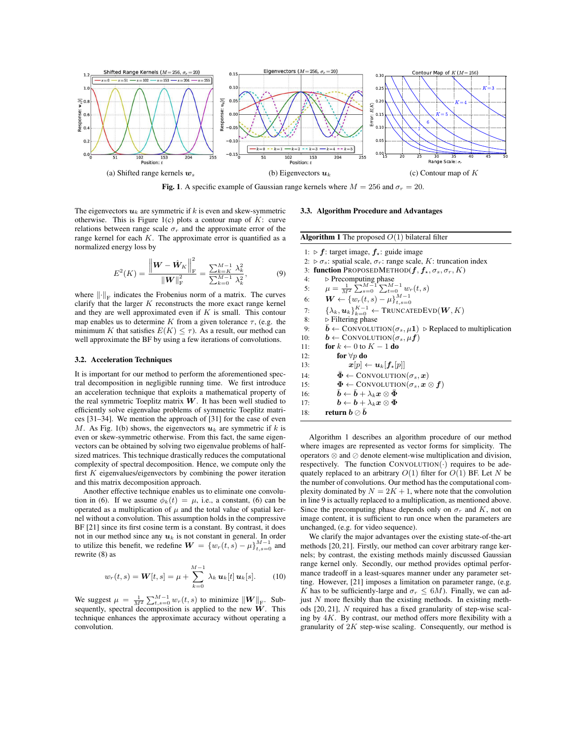

Fig. 1. A specific example of Gaussian range kernels where  $M = 256$  and  $\sigma_r = 20$ .

The eigenvectors  $u_k$  are symmetric if k is even and skew-symmetric otherwise. This is Figure 1(c) plots a contour map of  $K$ : curve relations between range scale  $\sigma_r$  and the approximate error of the range kernel for each  $K$ . The approximate error is quantified as a normalized energy loss by

$$
E^{2}(K) = \frac{\left\| \boldsymbol{W} - \hat{\boldsymbol{W}}_{K} \right\|_{\mathrm{F}}^{2}}{\left\| \boldsymbol{W} \right\|_{\mathrm{F}}^{2}} = \frac{\sum_{k=K}^{M-1} \lambda_{k}^{2}}{\sum_{k=0}^{M-1} \lambda_{k}^{2}},\tag{9}
$$

where  $\left\| \cdot \right\|_{\text{F}}$  indicates the Frobenius norm of a matrix. The curves clarify that the larger  $K$  reconstructs the more exact range kernel and they are well approximated even if  $K$  is small. This contour map enables us to determine K from a given tolerance  $\tau$ , (e.g. the minimum K that satisfies  $E(K) \leq \tau$ ). As a result, our method can well approximate the BF by using a few iterations of convolutions.

### 3.2. Acceleration Techniques

It is important for our method to perform the aforementioned spectral decomposition in negligible running time. We first introduce an acceleration technique that exploits a mathematical property of the real symmetric Toeplitz matrix  $W$ . It has been well studied to efficiently solve eigenvalue problems of symmetric Toeplitz matrices [31–34]. We mention the approach of [31] for the case of even M. As Fig. 1(b) shows, the eigenvectors  $u_k$  are symmetric if k is even or skew-symmetric otherwise. From this fact, the same eigenvectors can be obtained by solving two eigenvalue problems of halfsized matrices. This technique drastically reduces the computational complexity of spectral decomposition. Hence, we compute only the first  $K$  eigenvalues/eigenvectors by combining the power iteration and this matrix decomposition approach.

Another effective technique enables us to eliminate one convolution in (6). If we assume  $\phi_k(t) = \mu$ , i.e., a constant, (6) can be operated as a multiplication of  $\mu$  and the total value of spatial kernel without a convolution. This assumption holds in the compressive BF [21] since its first cosine term is a constant. By contrast, it does not in our method since any  $u_k$  is not constant in general. In order to utilize this benefit, we redefine  $\mathbf{W} = \{w_r(t,s) - \mu\}_{t,s=0}^{M-1}$  and rewrite (8) as

$$
w_r(t,s) = \mathbf{W}[t,s] = \mu + \sum_{k=0}^{M-1} \lambda_k \, \mathbf{u}_k[t] \, \mathbf{u}_k[s]. \tag{10}
$$

We suggest  $\mu = \frac{1}{M^2} \sum_{t,s=0}^{M-1} w_r(t,s)$  to minimize  $||\boldsymbol{W}||_F$ . Subsequently, spectral decomposition is applied to the new  $W$ . This technique enhances the approximate accuracy without operating a convolution.

### 3.3. Algorithm Procedure and Advantages

| <b>Algorithm 1</b> The proposed $O(1)$ bilateral filter                                                  |
|----------------------------------------------------------------------------------------------------------|
| 1: $\triangleright$ f: target image, $f_{\star}$ : guide image                                           |
| 2. $\triangleright \sigma_s$ : spatial scale, $\sigma_r$ : range scale, K: truncation index              |
| function PROPOSEDMETHOD( $f, f_*, \sigma_s, \sigma_r, K$ )<br>3:                                         |
| $\triangleright$ Precomputing phase<br>4:                                                                |
| $\mu = \frac{1}{M^2} \sum_{s=0}^{M-1} \sum_{t=0}^{M-1} w_r(t,s)$<br>5:                                   |
| $\boldsymbol{W} \leftarrow \{ w_r(t,s) - \mu \}_{t,s=0}^{M-1}$<br>6:                                     |
| $\{\lambda_k, u_k\}_{k=0}^{K-1} \leftarrow \text{TRUNCATEDEVD}(W, K)$<br>7:                              |
| $\triangleright$ Filtering phase<br>8:                                                                   |
| $\bar{b} \leftarrow \text{ConvOLUTION}(\sigma_s, \mu_1)$ > Replaced to multiplication<br>9:              |
| $\mathbf{b} \leftarrow \text{ConvOLUTION}(\sigma_s, \mu \mathbf{f})$<br>10:                              |
| for $k \leftarrow 0$ to $K - 1$ do<br>11:                                                                |
| for $\forall p$ do<br>12:                                                                                |
| $\boldsymbol{x}[p] \leftarrow \boldsymbol{u}_k [\boldsymbol{f}_\star[p]]$<br>13:                         |
| $\Phi \leftarrow \text{ConvOLUTION}(\sigma_s, \bm{x})$<br>14:                                            |
| $\Phi \leftarrow \text{ConvOLUTION}(\sigma_s, x \otimes f)$<br>15:                                       |
| $\boldsymbol{b} \leftarrow \boldsymbol{b} + \lambda_k \boldsymbol{x} \otimes \boldsymbol{\Phi}$<br>16:   |
| $\boldsymbol{b} \leftarrow \boldsymbol{b} + \lambda_{k} \boldsymbol{x} \otimes \boldsymbol{\Phi}$<br>17: |
| return $\bm{b} \oslash \bm{b}$<br>18:                                                                    |

Algorithm 1 describes an algorithm procedure of our method where images are represented as vector forms for simplicity. The operators ⊗ and ⊘ denote element-wise multiplication and division, respectively. The function  $ConvOLUTION(·)$  requires to be adequately replaced to an arbitrary  $O(1)$  filter for  $O(1)$  BF. Let N be the number of convolutions. Our method has the computational complexity dominated by  $N = 2K + 1$ , where note that the convolution in line 9 is actually replaced to a multiplication, as mentioned above. Since the precomputing phase depends only on  $\sigma_r$  and K, not on image content, it is sufficient to run once when the parameters are unchanged, (e.g. for video sequence).

We clarify the major advantages over the existing state-of-the-art methods [20, 21]. Firstly, our method can cover arbitrary range kernels; by contrast, the existing methods mainly discussed Gaussian range kernel only. Secondly, our method provides optimal performance tradeoff in a least-squares manner under any parameter setting. However, [21] imposes a limitation on parameter range, (e.g. K has to be sufficiently-large and  $\sigma_r \leq 6M$ ). Finally, we can adjust  $N$  more flexibly than the existing methods. In existing methods [20, 21], N required has a fixed granularity of step-wise scaling by  $4K$ . By contrast, our method offers more flexibility with a granularity of  $2K$  step-wise scaling. Consequently, our method is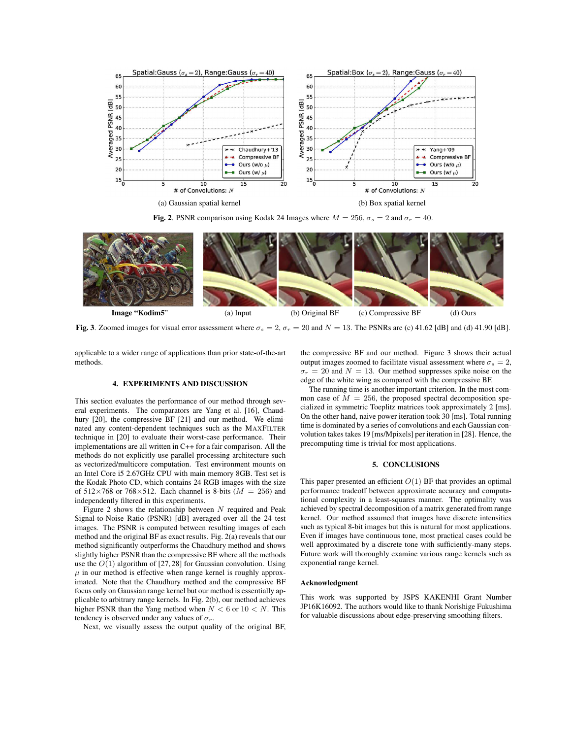

Fig. 2. PSNR comparison using Kodak 24 Images where  $M = 256$ ,  $\sigma_s = 2$  and  $\sigma_r = 40$ .



Fig. 3. Zoomed images for visual error assessment where  $\sigma_s = 2$ ,  $\sigma_r = 20$  and  $N = 13$ . The PSNRs are (c) 41.62 [dB] and (d) 41.90 [dB].

applicable to a wider range of applications than prior state-of-the-art methods.

## 4. EXPERIMENTS AND DISCUSSION

This section evaluates the performance of our method through several experiments. The comparators are Yang et al. [16], Chaudhury [20], the compressive BF [21] and our method. We eliminated any content-dependent techniques such as the MAXFILTER technique in [20] to evaluate their worst-case performance. Their implementations are all written in C++ for a fair comparison. All the methods do not explicitly use parallel processing architecture such as vectorized/multicore computation. Test environment mounts on an Intel Core i5 2.67GHz CPU with main memory 8GB. Test set is the Kodak Photo CD, which contains 24 RGB images with the size of  $512\times768$  or  $768\times512$ . Each channel is 8-bits ( $M = 256$ ) and independently filtered in this experiments.

Figure 2 shows the relationship between  $N$  required and Peak Signal-to-Noise Ratio (PSNR) [dB] averaged over all the 24 test images. The PSNR is computed between resulting images of each method and the original BF as exact results. Fig. 2(a) reveals that our method significantly outperforms the Chaudhury method and shows slightly higher PSNR than the compressive BF where all the methods use the  $O(1)$  algorithm of [27, 28] for Gaussian convolution. Using  $\mu$  in our method is effective when range kernel is roughly approximated. Note that the Chaudhury method and the compressive BF focus only on Gaussian range kernel but our method is essentially applicable to arbitrary range kernels. In Fig. 2(b), our method achieves higher PSNR than the Yang method when  $N < 6$  or  $10 < N$ . This tendency is observed under any values of  $\sigma_r$ .

Next, we visually assess the output quality of the original BF,

the compressive BF and our method. Figure 3 shows their actual output images zoomed to facilitate visual assessment where  $\sigma_s = 2$ ,  $\sigma_r = 20$  and  $N = 13$ . Our method suppresses spike noise on the edge of the white wing as compared with the compressive BF.

The running time is another important criterion. In the most common case of  $M = 256$ , the proposed spectral decomposition specialized in symmetric Toeplitz matrices took approximately 2 [ms]. On the other hand, naive power iteration took 30 [ms]. Total running time is dominated by a series of convolutions and each Gaussian convolution takes takes 19 [ms/Mpixels] per iteration in [28]. Hence, the precomputing time is trivial for most applications.

### 5. CONCLUSIONS

This paper presented an efficient  $O(1)$  BF that provides an optimal performance tradeoff between approximate accuracy and computational complexity in a least-squares manner. The optimality was achieved by spectral decomposition of a matrix generated from range kernel. Our method assumed that images have discrete intensities such as typical 8-bit images but this is natural for most applications. Even if images have continuous tone, most practical cases could be well approximated by a discrete tone with sufficiently-many steps. Future work will thoroughly examine various range kernels such as exponential range kernel.

### Acknowledgment

This work was supported by JSPS KAKENHI Grant Number JP16K16092. The authors would like to thank Norishige Fukushima for valuable discussions about edge-preserving smoothing filters.